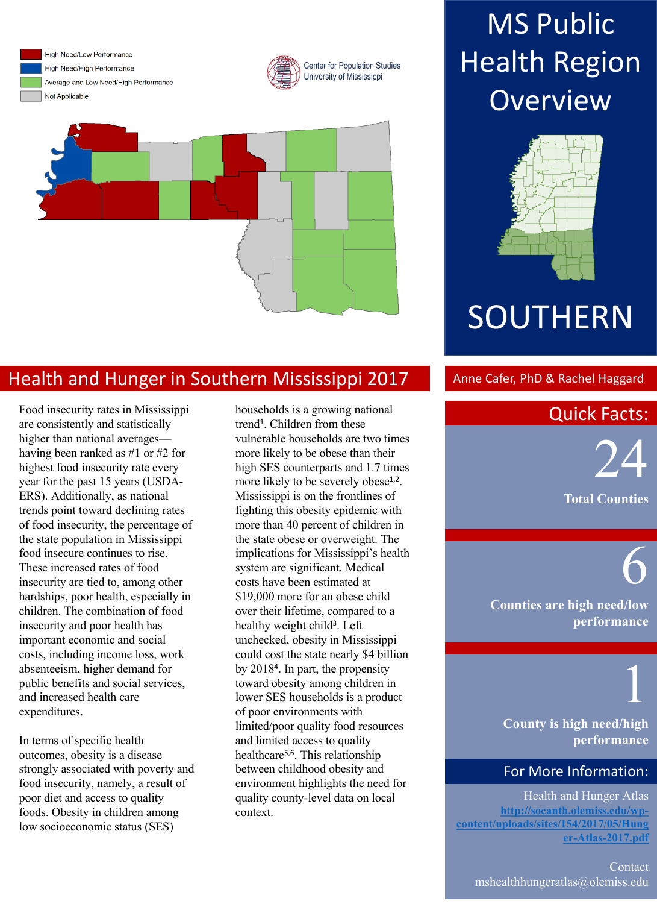High Need/Low Performance High Need/High Performance Average and Low Need/High Performance

Not Applicable

Center for Population Studies University of Mississippi



## Health and Hunger in Southern Mississippi 2017 Anne Cafer, PhD & Rachel Haggard

Food insecurity rates in Mississippi are consistently and statistically higher than national averages having been ranked as #1 or #2 for highest food insecurity rate every year for the past 15 years (USDA-ERS). Additionally, as national trends point toward declining rates of food insecurity, the percentage of the state population in Mississippi food insecure continues to rise. These increased rates of food insecurity are tied to, among other hardships, poor health, especially in children. The combination of food insecurity and poor health has important economic and social costs, including income loss, work absenteeism, higher demand for public benefits and social services, and increased health care expenditures.

In terms of specific health outcomes, obesity is a disease strongly associated with poverty and food insecurity, namely, a result of poor diet and access to quality foods. Obesity in children among low socioeconomic status (SES)

households is a growing national trend<sup>1</sup>. Children from these vulnerable households are two times more likely to be obese than their high SES counterparts and 1.7 times more likely to be severely obese<sup>1,2</sup>. Mississippi is on the frontlines of fighting this obesity epidemic with more than 40 percent of children in the state obese or overweight. The implications for Mississippi's health system are significant. Medical costs have been estimated at \$19,000 more for an obese child over their lifetime, compared to a healthy weight child<sup>3</sup>. Left unchecked, obesity in Mississippi could cost the state nearly \$4 billion by 20184. In part, the propensity toward obesity among children in lower SES households is a product of poor environments with limited/poor quality food resources and limited access to quality healthcare5,6. This relationship between childhood obesity and environment highlights the need for quality county-level data on local context.

## **MS Public Health Region Overview**



# **SOUTHERN**

## Quick Facts:

in Physical Activity,  $\overline{\phantom{0}}$ Future Child 2006; 16:89-- 24

6

**Total Counties**

**Counties are high need/low performance**

1 **County is high need/high performance**

### For More Information:

Health and Hunger Atlas **http://socanth.olemiss.edu/wpcontent/uploads/sites/154/2017/05/Hung er-Atlas-2017.pdf**

Contact mshealthhungeratlas@olemiss.edu